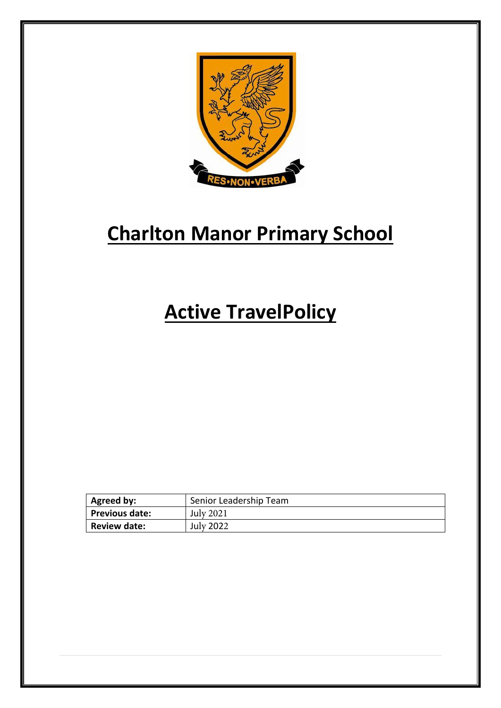

# **Charlton Manor Primary School**

## **Active TravelPolicy**

| <b>Agreed by:</b>   | Senior Leadership Team |
|---------------------|------------------------|
| Previous date:      | <b>July 2021</b>       |
| <b>Review date:</b> | <b>July 2022</b>       |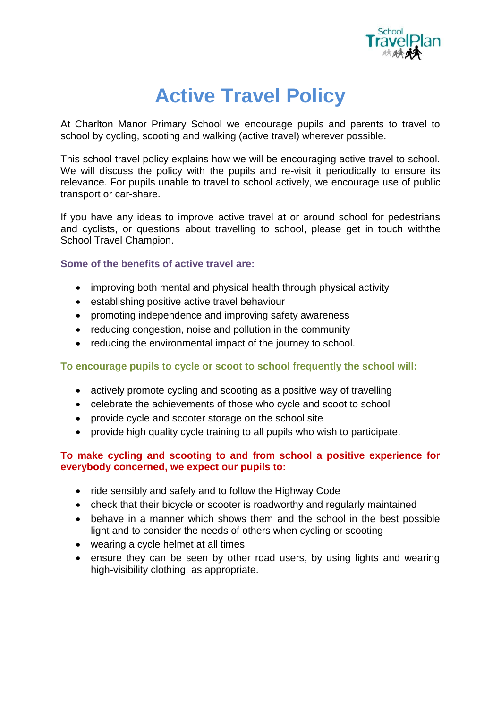

## **Active Travel Policy**

At Charlton Manor Primary School we encourage pupils and parents to travel to school by cycling, scooting and walking (active travel) wherever possible.

This school travel policy explains how we will be encouraging active travel to school. We will discuss the policy with the pupils and re-visit it periodically to ensure its relevance. For pupils unable to travel to school actively, we encourage use of public transport or car-share.

If you have any ideas to improve active travel at or around school for pedestrians and cyclists, or questions about travelling to school, please get in touch withthe School Travel Champion.

### **Some of the benefits of active travel are:**

- improving both mental and physical health through physical activity
- establishing positive active travel behaviour
- promoting independence and improving safety awareness
- reducing congestion, noise and pollution in the community
- reducing the environmental impact of the journey to school.

#### **To encourage pupils to cycle or scoot to school frequently the school will:**

- actively promote cycling and scooting as a positive way of travelling
- celebrate the achievements of those who cycle and scoot to school
- provide cycle and scooter storage on the school site
- provide high quality cycle training to all pupils who wish to participate.

### **To make cycling and scooting to and from school a positive experience for everybody concerned, we expect our pupils to:**

- ride sensibly and safely and to follow the Highway Code
- check that their bicycle or scooter is roadworthy and regularly maintained
- behave in a manner which shows them and the school in the best possible light and to consider the needs of others when cycling or scooting
- wearing a cycle helmet at all times
- ensure they can be seen by other road users, by using lights and wearing high-visibility clothing, as appropriate.